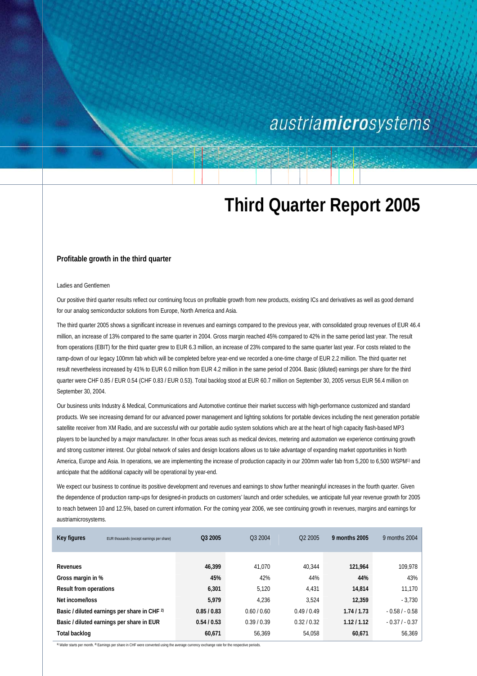## austriamicrosystems

# **Third Quarter Report 2005**

#### **Profitable growth in the third quarter**

#### Ladies and Gentlemen

Our positive third quarter results reflect our continuing focus on profitable growth from new products, existing ICs and derivatives as well as good demand for our analog semiconductor solutions from Europe, North America and Asia.

The third quarter 2005 shows a significant increase in revenues and earnings compared to the previous year, with consolidated group revenues of EUR 46.4 million, an increase of 13% compared to the same quarter in 2004. Gross margin reached 45% compared to 42% in the same period last year. The result from operations (EBIT) for the third quarter grew to EUR 6.3 million, an increase of 23% compared to the same quarter last year. For costs related to the ramp-down of our legacy 100mm fab which will be completed before year-end we recorded a one-time charge of EUR 2.2 million. The third quarter net result nevertheless increased by 41% to EUR 6.0 million from EUR 4.2 million in the same period of 2004. Basic (diluted) earnings per share for the third quarter were CHF 0.85 / EUR 0.54 (CHF 0.83 / EUR 0.53). Total backlog stood at EUR 60.7 million on September 30, 2005 versus EUR 56.4 million on September 30, 2004.

Our business units Industry & Medical, Communications and Automotive continue their market success with high-performance customized and standard products. We see increasing demand for our advanced power management and lighting solutions for portable devices including the next generation portable satellite receiver from XM Radio, and are successful with our portable audio system solutions which are at the heart of high capacity flash-based MP3 players to be launched by a major manufacturer. In other focus areas such as medical devices, metering and automation we experience continuing growth and strong customer interest. Our global network of sales and design locations allows us to take advantage of expanding market opportunities in North America, Europe and Asia. In operations, we are implementing the increase of production capacity in our 200mm wafer fab from 5,200 to 6,500 WSPM<sup>1)</sup> and anticipate that the additional capacity will be operational by year-end.

We expect our business to continue its positive development and revenues and earnings to show further meaningful increases in the fourth quarter. Given the dependence of production ramp-ups for designed-in products on customers' launch and order schedules, we anticipate full year revenue growth for 2005 to reach between 10 and 12.5%, based on current information. For the coming year 2006, we see continuing growth in revenues, margins and earnings for austriamicrosystems.

| Key figures<br>EUR thousands (except earnings per share) | Q3 2005   | Q3 2004     | Q <sub>2</sub> 2005 | 9 months 2005 | 9 months 2004  |
|----------------------------------------------------------|-----------|-------------|---------------------|---------------|----------------|
|                                                          |           |             |                     |               |                |
| Revenues                                                 | 46,399    | 41.070      | 40.344              | 121,964       | 109,978        |
| Gross margin in %                                        |           | 45%<br>42%  | 44%                 | 44%           | 43%            |
| <b>Result from operations</b>                            | 6,301     | 5.120       | 4.431               | 14,814        | 11.170         |
| Net income/loss                                          | 5,979     | 4.236       | 3.524               | 12,359        | $-3.730$       |
| Basic / diluted earnings per share in CHF 2)             | 0.85/0.83 | 0.60 / 0.60 | 0.49/0.49           | 1.74/1.73     | $-0.58/0.58$   |
| Basic / diluted earnings per share in EUR                | 0.54/0.53 | 0.39/0.39   | 0.32/0.32           | 1.12 / 1.12   | $-0.37/ -0.37$ |
| Total backlog                                            | 60,671    | 56.369      | 54.058              | 60,671        | 56.369         |

**1)** Wafer starts per month. **2)** Earnings per share in CHF were converted using the average currency exchange rate for the respective periods.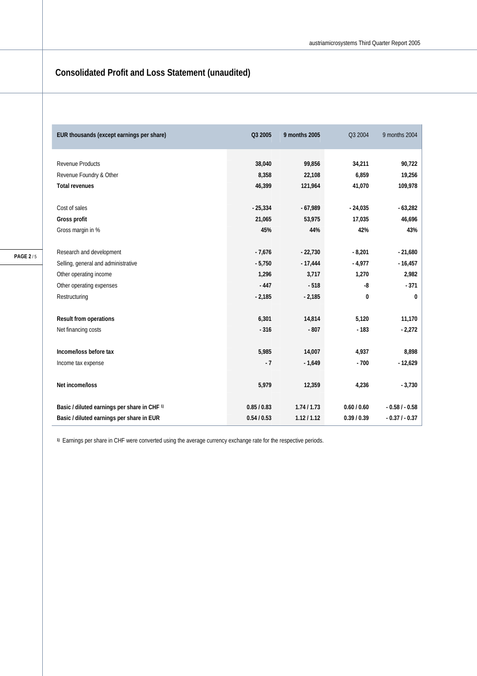### **Consolidated Profit and Loss Statement (unaudited)**

| EUR thousands (except earnings per share)    | Q3 2005     | 9 months 2005 | Q3 2004     | 9 months 2004  |
|----------------------------------------------|-------------|---------------|-------------|----------------|
|                                              |             |               |             |                |
| Revenue Products                             | 38,040      | 99,856        | 34,211      | 90,722         |
| Revenue Foundry & Other                      | 8,358       | 22,108        | 6,859       | 19,256         |
| <b>Total revenues</b>                        | 46,399      | 121,964       | 41,070      | 109,978        |
|                                              |             |               |             |                |
| Cost of sales                                | $-25,334$   | $-67,989$     | $-24,035$   | $-63,282$      |
| Gross profit                                 | 21,065      | 53,975        | 17,035      | 46,696         |
| Gross margin in %                            | 45%         | 44%           | 42%         | 43%            |
|                                              |             |               |             |                |
| Research and development                     | $-7,676$    | $-22,730$     | $-8,201$    | $-21,680$      |
| Selling, general and administrative          | $-5,750$    | $-17,444$     | $-4,977$    | $-16,457$      |
| Other operating income                       | 1,296       | 3,717         | 1,270       | 2,982          |
| Other operating expenses                     | $-447$      | $-518$        | -8          | $-371$         |
| Restructuring                                | $-2,185$    | $-2,185$      | $\bf{0}$    | 0              |
| Result from operations                       | 6,301       | 14,814        | 5,120       | 11,170         |
|                                              |             |               |             |                |
| Net financing costs                          | $-316$      | $-807$        | $-183$      | $-2,272$       |
| Income/loss before tax                       | 5,985       | 14,007        | 4,937       | 8,898          |
| Income tax expense                           | $-7$        | $-1,649$      | $-700$      | $-12,629$      |
|                                              |             |               |             |                |
| Net income/loss                              | 5,979       | 12,359        | 4,236       | $-3,730$       |
| Basic / diluted earnings per share in CHF 1) | 0.85 / 0.83 | 1.74/1.73     | 0.60 / 0.60 | $-0.58/ -0.58$ |
| Basic / diluted earnings per share in EUR    | 0.54 / 0.53 | 1.12 / 1.12   | 0.39/0.39   | $-0.37/ -0.37$ |
|                                              |             |               |             |                |

**1)** Earnings per share in CHF were converted using the average currency exchange rate for the respective periods.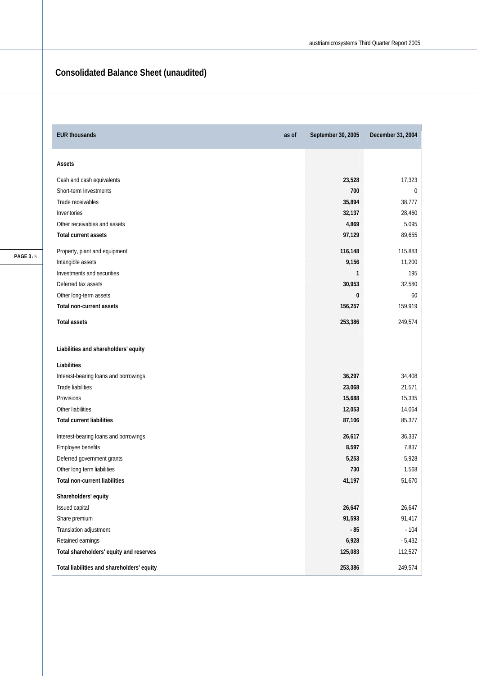### **Consolidated Balance Sheet (unaudited)**

| <b>EUR thousands</b><br>as of              | September 30, 2005 | December 31, 2004 |
|--------------------------------------------|--------------------|-------------------|
| Assets                                     |                    |                   |
| Cash and cash equivalents                  | 23,528             | 17,323            |
| Short-term Investments                     | 700                | 0                 |
| Trade receivables                          | 35,894             | 38,777            |
| Inventories                                | 32,137             | 28,460            |
| Other receivables and assets               | 4,869              | 5,095             |
| <b>Total current assets</b>                | 97,129             | 89,655            |
| Property, plant and equipment              | 116,148            | 115,883           |
| Intangible assets                          | 9,156              | 11,200            |
| Investments and securities                 | 1                  | 195               |
| Deferred tax assets                        | 30,953             | 32,580            |
| Other long-term assets                     | 0                  | 60                |
| Total non-current assets                   | 156,257            | 159,919           |
| <b>Total assets</b>                        | 253,386            | 249,574           |
| Liabilities and shareholders' equity       |                    |                   |
| Liabilities                                |                    |                   |
| Interest-bearing loans and borrowings      | 36,297             | 34,408            |
| <b>Trade liabilities</b>                   | 23,068             | 21,571            |
| Provisions                                 | 15,688             | 15,335            |
| Other liabilities                          | 12,053             | 14,064            |
| <b>Total current liabilities</b>           | 87,106             | 85,377            |
| Interest-bearing loans and borrowings      | 26,617             | 36,337            |
| Employee benefits                          | 8,597              | 7,837             |
| Deferred government grants                 | 5,253              | 5,928             |
| Other long term liabilities                | 730                | 1,568             |
| <b>Total non-current liabilities</b>       | 41,197             | 51,670            |
| Shareholders' equity                       |                    |                   |
| Issued capital                             | 26,647             | 26,647            |
| Share premium                              | 91,593             | 91,417            |
| Translation adjustment                     | $-85$              | $-104$            |
| Retained earnings                          | 6,928              | $-5,432$          |
| Total shareholders' equity and reserves    | 125,083            | 112,527           |
| Total liabilities and shareholders' equity | 253,386            | 249,574           |

**PAGE 3** / 5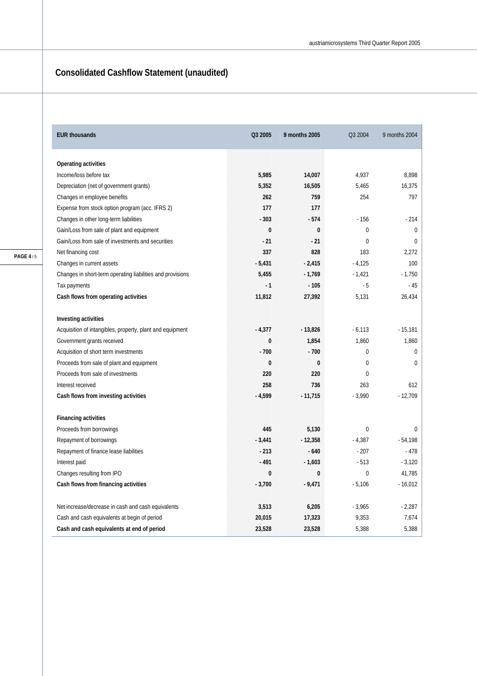## **Consolidated Cashflow Statement (unaudited)**

| <b>EUR thousands</b>                                       | Q3 2005  | 9 months 2005 | Q3 2004        | 9 months 2004 |
|------------------------------------------------------------|----------|---------------|----------------|---------------|
| Operating activities                                       |          |               |                |               |
| Income/loss before tax                                     | 5,985    | 14,007        | 4.937          | 8.898         |
| Depreciation (net of government grants)                    | 5,352    | 16,505        | 5,465          | 16,375        |
| Changes in employee benefits                               | 262      | 759           | 254            | 797           |
| Expense from stock option program (acc. IFRS 2)            | 177      | 177           |                |               |
| Changes in other long-term liabilities                     | $-303$   | $-574$        | $-156$         | $-214$        |
| Gain/Loss from sale of plant and equipment                 | $\bf{0}$ | $\bf{0}$      | $\overline{0}$ | $\mathbf{0}$  |
| Gain/Loss from sale of investments and securities          | $-21$    | $-21$         | $\theta$       | $\Omega$      |
| Net financing cost                                         | 337      | 828           | 183            | 2,272         |
| Changes in current assets                                  | $-5,431$ | $-2,415$      | $-4,125$       | 100           |
| Changes in short-term operating liabilities and provisions | 5,455    | $-1,769$      | $-1,421$       | $-1,750$      |
| Tax payments                                               | $-1$     | $-105$        | $-5$           | $-45$         |
| Cash flows from operating activities                       | 11,812   | 27,392        | 5,131          | 26,434        |
|                                                            |          |               |                |               |
| Investing activities                                       |          |               |                |               |
| Acquisition of intangibles, property, plant and equipment  | $-4,377$ | $-13,826$     | $-6,113$       | $-15,181$     |
| Government grants received                                 | 0        | 1,854         | 1,860          | 1,860         |
| Acquisition of short term investments                      | $-700$   | $-700$        | $\mathbf 0$    | $\mathbf 0$   |
| Proceeds from sale of plant and equipment                  | 0        | 0             | $\mathbf 0$    | 0             |
| Proceeds from sale of investments                          | 220      | 220           | $\overline{0}$ |               |
| Interest received                                          | 258      | 736           | 263            | 612           |
| Cash flows from investing activities                       | $-4,599$ | $-11,715$     | $-3,990$       | $-12,709$     |
|                                                            |          |               |                |               |
| <b>Financing activities</b>                                |          |               |                |               |
| Proceeds from borrowings                                   | 445      | 5,130         | $\mathbf 0$    | 0             |
| Repayment of borrowings                                    | $-3,441$ | $-12,358$     | $-4,387$       | $-54,198$     |
| Repayment of finance lease liabilities                     | $-213$   | $-640$        | $-207$         | $-478$        |
| Interest paid                                              | $-491$   | $-1,603$      | $-513$         | $-3,120$      |
| Changes resulting from IPO                                 | 0        | 0             | $\mathbf 0$    | 41,785        |
| Cash flows from financing activities                       | $-3,700$ | $-9,471$      | $-5,106$       | $-16,012$     |
| Net increase/decrease in cash and cash equivalents         | 3,513    | 6,205         | $-3,965$       | $-2,287$      |
| Cash and cash equivalents at begin of period               | 20,015   | 17,323        | 9,353          | 7,674         |
| Cash and cash equivalents at end of period                 | 23,528   | 23,528        | 5,388          | 5,388         |